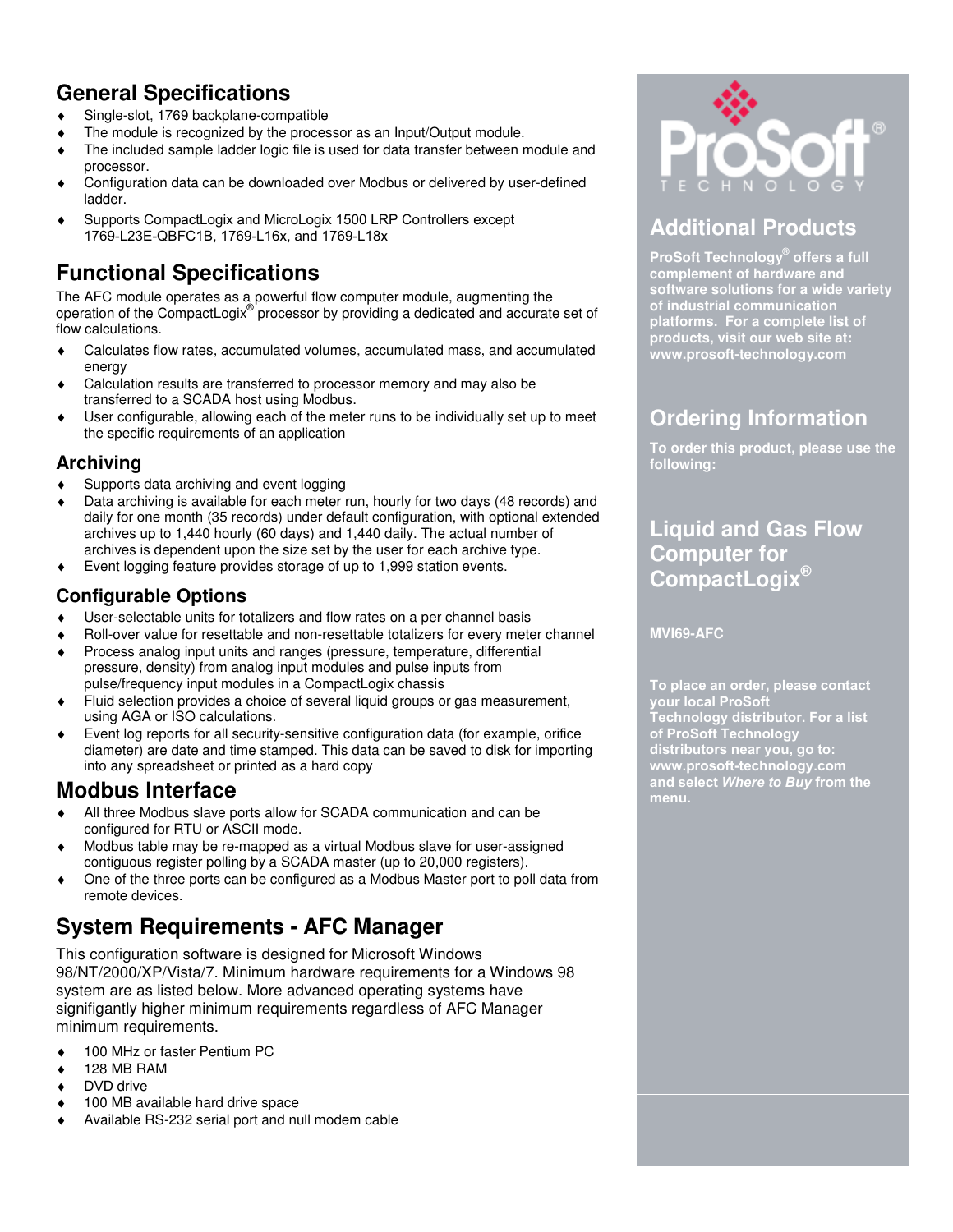# **General Specifications**

- ♦ Single-slot, 1769 backplane-compatible
- ♦ The module is recognized by the processor as an Input/Output module.
- ♦ The included sample ladder logic file is used for data transfer between module and processor.
- Configuration data can be downloaded over Modbus or delivered by user-defined ladder.
- Supports CompactLogix and MicroLogix 1500 LRP Controllers except 1769-L23E-QBFC1B, 1769-L16x, and 1769-L18x

# **Functional Specifications**

The AFC module operates as a powerful flow computer module, augmenting the operation of the CompactLogix® processor by providing a dedicated and accurate set of flow calculations.

- ♦ Calculates flow rates, accumulated volumes, accumulated mass, and accumulated energy
- Calculation results are transferred to processor memory and may also be transferred to a SCADA host using Modbus.
- User configurable, allowing each of the meter runs to be individually set up to meet the specific requirements of an application

#### **Archiving**

- ♦ Supports data archiving and event logging
- Data archiving is available for each meter run, hourly for two days (48 records) and daily for one month (35 records) under default configuration, with optional extended archives up to 1,440 hourly (60 days) and 1,440 daily. The actual number of archives is dependent upon the size set by the user for each archive type.
- ♦ Event logging feature provides storage of up to 1,999 station events.

#### **Configurable Options**

- ♦ User-selectable units for totalizers and flow rates on a per channel basis
- Roll-over value for resettable and non-resettable totalizers for every meter channel
- Process analog input units and ranges (pressure, temperature, differential pressure, density) from analog input modules and pulse inputs from pulse/frequency input modules in a CompactLogix chassis
- Fluid selection provides a choice of several liquid groups or gas measurement, using AGA or ISO calculations.
- Event log reports for all security-sensitive configuration data (for example, orifice diameter) are date and time stamped. This data can be saved to disk for importing into any spreadsheet or printed as a hard copy

### **Modbus Interface**

- ♦ All three Modbus slave ports allow for SCADA communication and can be configured for RTU or ASCII mode.
- Modbus table may be re-mapped as a virtual Modbus slave for user-assigned contiguous register polling by a SCADA master (up to 20,000 registers).
- ♦ One of the three ports can be configured as a Modbus Master port to poll data from remote devices.

# **System Requirements - AFC Manager**

This configuration software is designed for Microsoft Windows 98/NT/2000/XP/Vista/7. Minimum hardware requirements for a Windows 98 system are as listed below. More advanced operating systems have signifigantly higher minimum requirements regardless of AFC Manager minimum requirements.

- ♦ 100 MHz or faster Pentium PC
- ♦ 128 MB RAM
- ♦ DVD drive
- ♦ 100 MB available hard drive space
- ♦ Available RS-232 serial port and null modem cable



# **Additional Products**

**ProSoft Technology® offers a full complement of hardware and software solutions for a wide variety of industrial communication platforms. For a complete list of products, visit our web site at: www.prosoft-technology.com** 

# **Ordering Information**

**To order this product, please use the following:** 

# **Liquid and Gas Flow Computer for CompactLogix®**

**MVI69-AFC** 

**To place an order, please contact your local ProSoft Technology distributor. For a list of ProSoft Technology distributors near you, go to: www.prosoft-technology.com and select** *Where to Buy* **from the menu.**